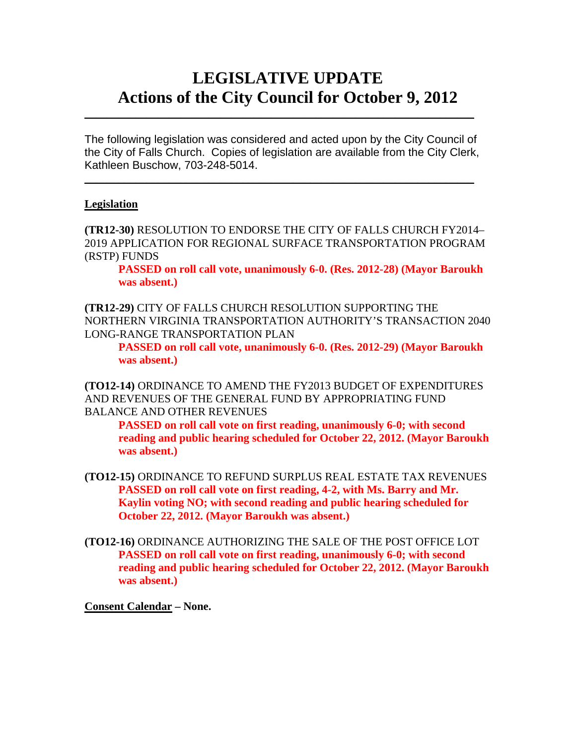# **LEGISLATIVE UPDATE Actions of the City Council for October 9, 2012**

The following legislation was considered and acted upon by the City Council of the City of Falls Church. Copies of legislation are available from the City Clerk, Kathleen Buschow, 703-248-5014.

 $\blacksquare$ 

 $\mathcal{L}_\text{max}$  and  $\mathcal{L}_\text{max}$  and  $\mathcal{L}_\text{max}$  and  $\mathcal{L}_\text{max}$  and  $\mathcal{L}_\text{max}$  and  $\mathcal{L}_\text{max}$ 

#### **Legislation**

**(TR12-30)** RESOLUTION TO ENDORSE THE CITY OF FALLS CHURCH FY2014– 2019 APPLICATION FOR REGIONAL SURFACE TRANSPORTATION PROGRAM (RSTP) FUNDS

 **PASSED on roll call vote, unanimously 6-0. (Res. 2012-28) (Mayor Baroukh was absent.)** 

**(TR12-29)** CITY OF FALLS CHURCH RESOLUTION SUPPORTING THE NORTHERN VIRGINIA TRANSPORTATION AUTHORITY'S TRANSACTION 2040 LONG-RANGE TRANSPORTATION PLAN

 **PASSED on roll call vote, unanimously 6-0. (Res. 2012-29) (Mayor Baroukh was absent.)** 

**(TO12-14)** ORDINANCE TO AMEND THE FY2013 BUDGET OF EXPENDITURES AND REVENUES OF THE GENERAL FUND BY APPROPRIATING FUND BALANCE AND OTHER REVENUES

 **PASSED on roll call vote on first reading, unanimously 6-0; with second reading and public hearing scheduled for October 22, 2012. (Mayor Baroukh was absent.)** 

- **(TO12-15)** ORDINANCE TO REFUND SURPLUS REAL ESTATE TAX REVENUES  **PASSED on roll call vote on first reading, 4-2, with Ms. Barry and Mr. Kaylin voting NO; with second reading and public hearing scheduled for October 22, 2012. (Mayor Baroukh was absent.)**
- **(TO12-16)** ORDINANCE AUTHORIZING THE SALE OF THE POST OFFICE LOT  **PASSED on roll call vote on first reading, unanimously 6-0; with second reading and public hearing scheduled for October 22, 2012. (Mayor Baroukh was absent.)**

**Consent Calendar – None.**